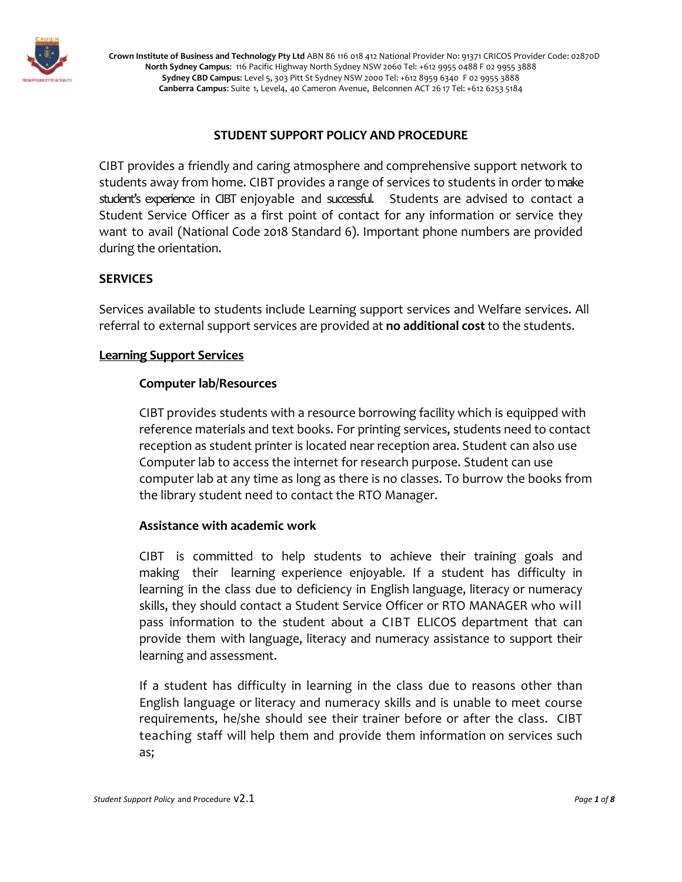

# **STUDENT SUPPORT POLICY AND PROCEDURE**

CIBT provides a friendly and caring atmosphere and comprehensive support network to students away from home. CIBT provides a range of services to students in order tomake student's experience in CIBT enjoyable and successful. Students are advised to contact a Student Service Officer as a first point of contact for any information or service they want to avail (National Code 2018 Standard 6). Important phone numbers are provided during the orientation.

## **SERVICES**

Services available to students include Learning support services and Welfare services. All referral to external support services are provided at **no additional cost** to the students.

## **Learning Support Services**

### **Computer lab/Resources**

CIBT provides students with a resource borrowing facility which is equipped with reference materials and text books. For printing services, students need to contact reception as student printer is located near reception area. Student can also use Computer lab to access the internet for research purpose. Student can use computer lab at any time as long as there is no classes. To burrow the books from the library student need to contact the RTO Manager.

## **Assistance with academic work**

CIBT is committed to help students to achieve their training goals and making their learning experience enjoyable. If a student has difficulty in learning in the class due to deficiency in English language, literacy or numeracy skills, they should contact a Student Service Officer or RTO MANAGER who will pass information to the student about a CIBT ELICOS department that can provide them with language, literacy and numeracy assistance to support their learning and assessment.

If a student has difficulty in learning in the class due to reasons other than English language or literacy and numeracy skills and is unable to meet course requirements, he/she should see their trainer before or after the class. CIBT teaching staff will help them and provide them information on services such as;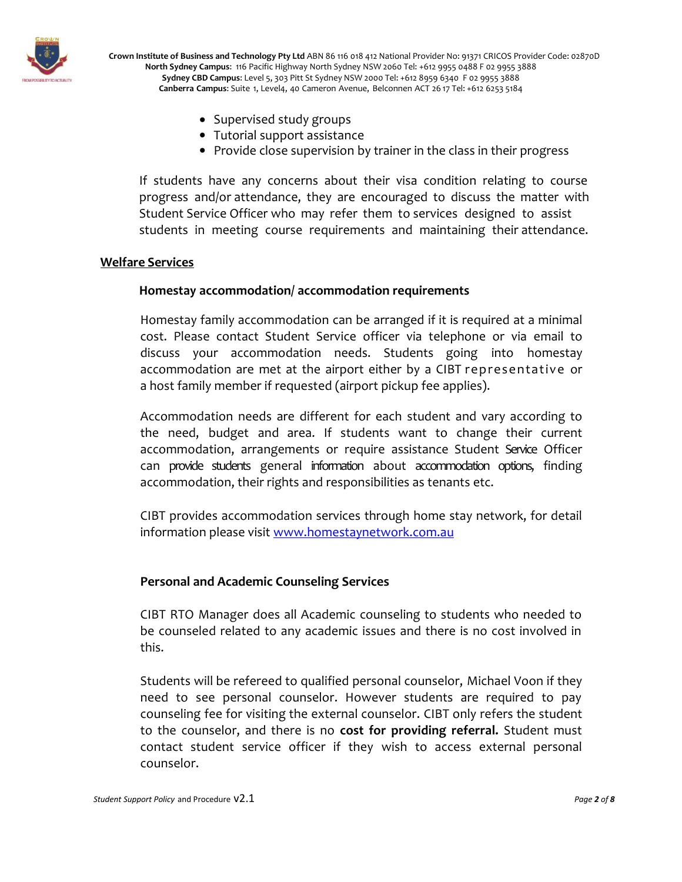

- Supervised study groups
- Tutorial support assistance
- Provide close supervision by trainer in the class in their progress

If students have any concerns about their visa condition relating to course progress and/or attendance, they are encouraged to discuss the matter with Student Service Officer who may refer them to services designed to assist students in meeting course requirements and maintaining their attendance.

#### **Welfare Services**

### **Homestay accommodation/ accommodation requirements**

Homestay family accommodation can be arranged if it is required at a minimal cost. Please contact Student Service officer via telephone or via email to discuss your accommodation needs. Students going into homestay accommodation are met at the airport either by a CIBT representative or a host family member if requested (airport pickup fee applies).

Accommodation needs are different for each student and vary according to the need, budget and area. If students want to change their current accommodation, arrangements or require assistance Student Service Officer can provide students general information about accommodation options, finding accommodation, their rights and responsibilities as tenants etc.

CIBT provides accommodation services through home stay network, for detail information please visit [www.homestaynetwork.com.au](http://www.homestaynetwork.com.au/)

## **Personal and Academic Counseling Services**

CIBT RTO Manager does all Academic counseling to students who needed to be counseled related to any academic issues and there is no cost involved in this.

Students will be refereed to qualified personal counselor, Michael Voon if they need to see personal counselor. However students are required to pay counseling fee for visiting the external counselor. CIBT only refers the student to the counselor, and there is no **cost for providing referral.** Student must contact student service officer if they wish to access external personal counselor.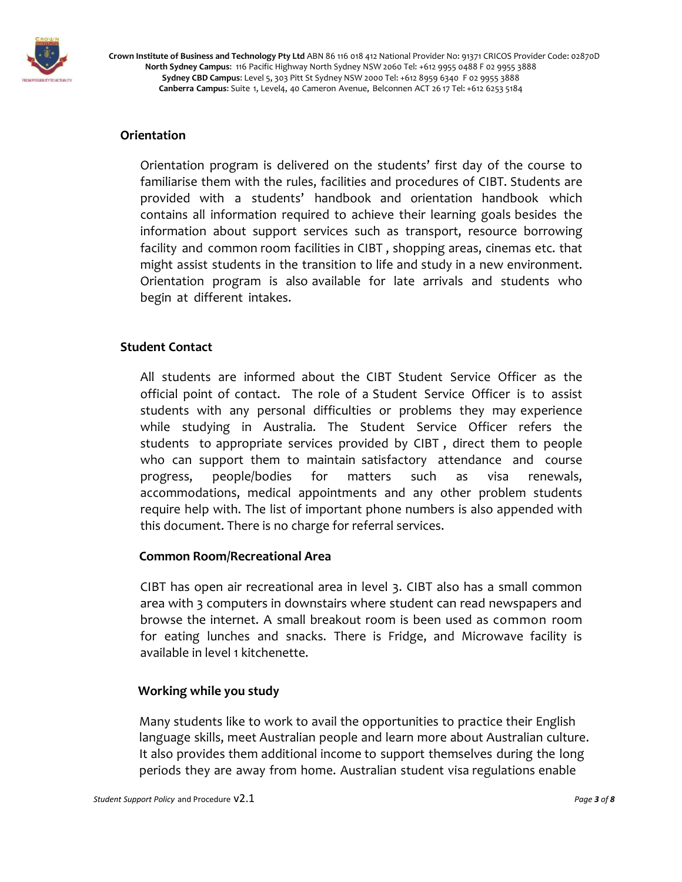

# **Orientation**

Orientation program is delivered on the students' first day of the course to familiarise them with the rules, facilities and procedures of CIBT. Students are provided with a students' handbook and orientation handbook which contains all information required to achieve their learning goals besides the information about support services such as transport, resource borrowing facility and common room facilities in CIBT , shopping areas, cinemas etc. that might assist students in the transition to life and study in a new environment. Orientation program is also available for late arrivals and students who begin at different intakes.

## **Student Contact**

All students are informed about the CIBT Student Service Officer as the official point of contact. The role of a Student Service Officer is to assist students with any personal difficulties or problems they may experience while studying in Australia. The Student Service Officer refers the students to appropriate services provided by CIBT , direct them to people who can support them to maintain satisfactory attendance and course progress, people/bodies for matters such as visa renewals, accommodations, medical appointments and any other problem students require help with. The list of important phone numbers is also appended with this document. There is no charge for referral services.

#### **Common Room/Recreational Area**

CIBT has open air recreational area in level 3. CIBT also has a small common area with 3 computers in downstairs where student can read newspapers and browse the internet. A small breakout room is been used as common room for eating lunches and snacks. There is Fridge, and Microwave facility is available in level 1 kitchenette.

#### **Working while you study**

Many students like to work to avail the opportunities to practice their English language skills, meet Australian people and learn more about Australian culture. It also provides them additional income to support themselves during the long periods they are away from home. Australian student visa regulations enable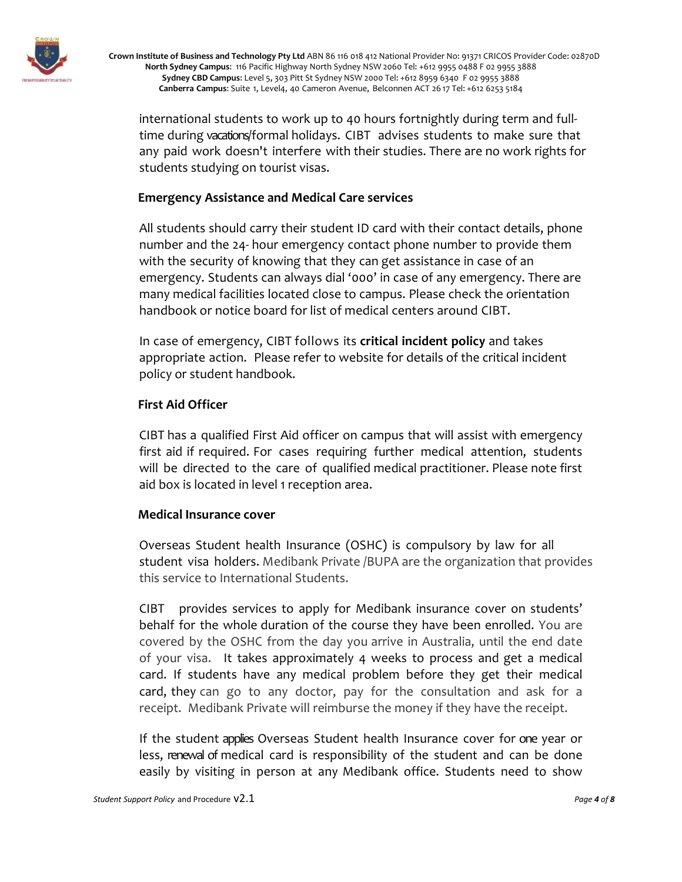

international students to work up to 40 hours fortnightly during term and fulltime during vacations/formal holidays. CIBT advises students to make sure that any paid work doesn't interfere with their studies. There are no work rights for students studying on tourist visas.

### **Emergency Assistance and Medical Care services**

All students should carry their student ID card with their contact details, phone number and the 24- hour emergency contact phone number to provide them with the security of knowing that they can get assistance in case of an emergency. Students can always dial '000' in case of any emergency. There are many medical facilities located close to campus. Please check the orientation handbook or notice board for list of medical centers around CIBT.

In case of emergency, CIBT follows its **critical incident policy** and takes appropriate action. Please refer to website for details of the critical incident policy or student handbook.

### **First Aid Officer**

CIBT has a qualified First Aid officer on campus that will assist with emergency first aid if required. For cases requiring further medical attention, students will be directed to the care of qualified medical practitioner. Please note first aid box is located in level 1 reception area.

#### **Medical Insurance cover**

Overseas Student health Insurance (OSHC) is compulsory by law for all student visa holders. Medibank Private /BUPA are the organization that provides this service to International Students.

CIBT provides services to apply for Medibank insurance cover on students' behalf for the whole duration of the course they have been enrolled. You are covered by the OSHC from the day you arrive in Australia, until the end date of your visa. It takes approximately 4 weeks to process and get a medical card. If students have any medical problem before they get their medical card, they can go to any doctor, pay for the consultation and ask for a receipt. Medibank Private will reimburse the money if they have the receipt.

If the student applies Overseas Student health Insurance cover for one year or less, renewal of medical card is responsibility of the student and can be done easily by visiting in person at any Medibank office. Students need to show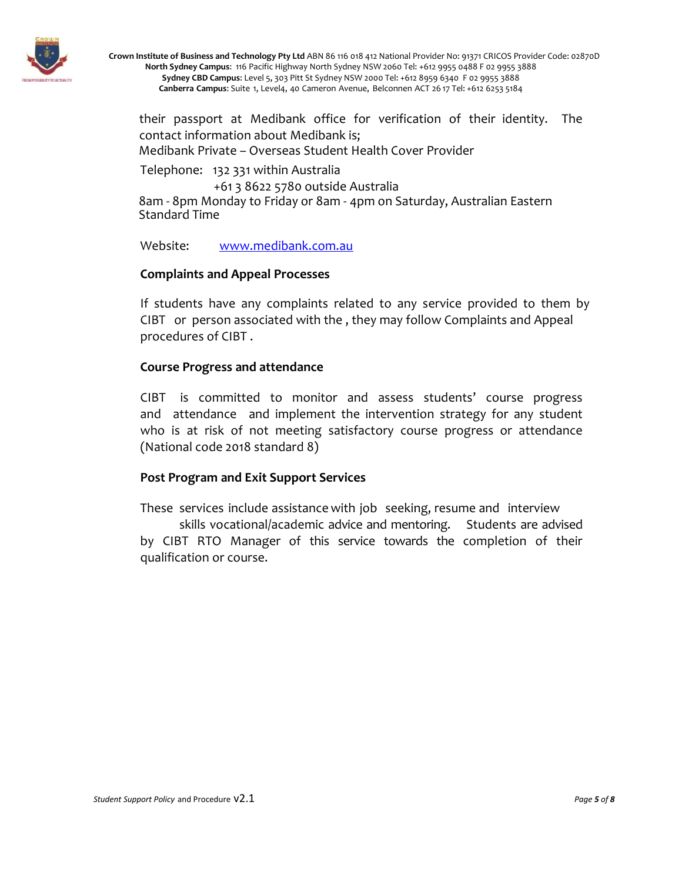

their passport at Medibank office for verification of their identity. The contact information about Medibank is; Medibank Private – Overseas Student Health Cover Provider

Telephone: 132 331 within Australia +61 3 8622 5780 outside Australia 8am - 8pm Monday to Friday or 8am - 4pm on Saturday, Australian Eastern Standard Time

Website: [www.medibank.com.au](http://www.medibank.com.au/)

### **Complaints and Appeal Processes**

If students have any complaints related to any service provided to them by CIBT or person associated with the , they may follow Complaints and Appeal procedures of CIBT .

### **Course Progress and attendance**

CIBT is committed to monitor and assess students' course progress and attendance and implement the intervention strategy for any student who is at risk of not meeting satisfactory course progress or attendance (National code 2018 standard 8)

## **Post Program and Exit Support Services**

These services include assistance with job seeking, resume and interview skills vocational/academic advice and mentoring. Students are advised by CIBT RTO Manager of this service towards the completion of their qualification or course.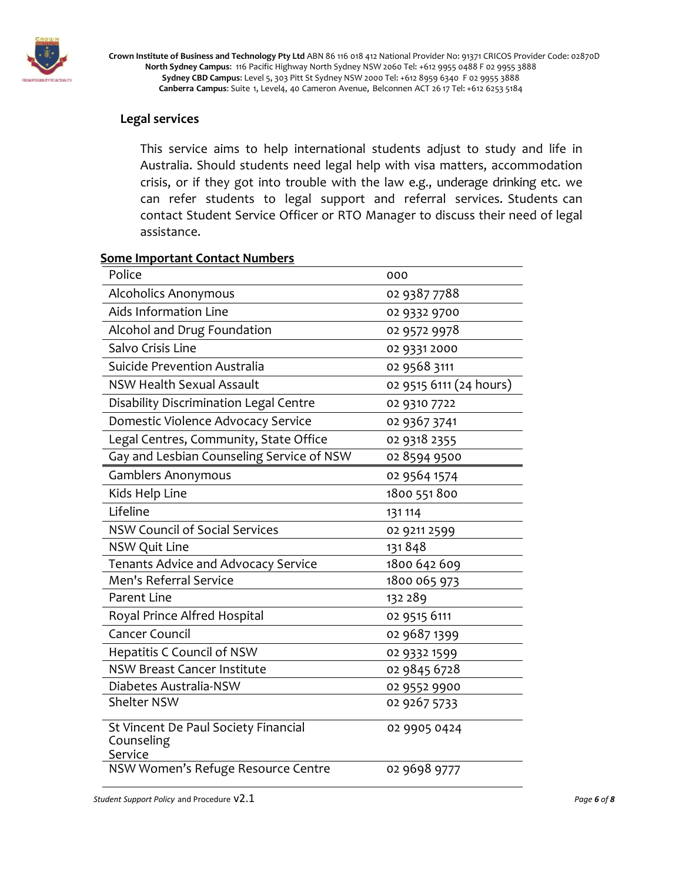

### **Legal services**

This service aims to help international students adjust to study and life in Australia. Should students need legal help with visa matters, accommodation crisis, or if they got into trouble with the law e.g., underage drinking etc. we can refer students to legal support and referral services. Students can contact Student Service Officer or RTO Manager to discuss their need of legal assistance.

#### **Some Important Contact Numbers**

| Police                                                        | 000                     |
|---------------------------------------------------------------|-------------------------|
| <b>Alcoholics Anonymous</b>                                   | 02 9387 7788            |
| Aids Information Line                                         | 02 9332 9700            |
| Alcohol and Drug Foundation                                   | 02 9572 9978            |
| Salvo Crisis Line                                             | 02 9331 2000            |
| Suicide Prevention Australia                                  | 02 9568 3111            |
| <b>NSW Health Sexual Assault</b>                              | 02 9515 6111 (24 hours) |
| Disability Discrimination Legal Centre                        | 02 9310 7722            |
| Domestic Violence Advocacy Service                            | 02 9367 3741            |
| Legal Centres, Community, State Office                        | 02 9318 2355            |
| Gay and Lesbian Counseling Service of NSW                     | 02 8594 9500            |
| <b>Gamblers Anonymous</b>                                     | 02 9564 1574            |
| Kids Help Line                                                | 1800 551 800            |
| Lifeline                                                      | 131 114                 |
| <b>NSW Council of Social Services</b>                         | 02 9211 2599            |
| <b>NSW Quit Line</b>                                          | 131848                  |
| <b>Tenants Advice and Advocacy Service</b>                    | 1800 642 609            |
| Men's Referral Service                                        | 1800 065 973            |
| <b>Parent Line</b>                                            | 132 289                 |
| Royal Prince Alfred Hospital                                  | 02 9515 6111            |
| <b>Cancer Council</b>                                         | 02 9687 1399            |
| Hepatitis C Council of NSW                                    | 02 9332 1599            |
| <b>NSW Breast Cancer Institute</b>                            | 02 9845 6728            |
| Diabetes Australia-NSW                                        | 02 9552 9900            |
| <b>Shelter NSW</b>                                            | 02 9267 5733            |
| St Vincent De Paul Society Financial<br>Counseling<br>Service | 02 9905 0424            |
| NSW Women's Refuge Resource Centre                            | 02 9698 9777            |

*Student Support Policy* and Procedure v2.1 *Page 6 of 8*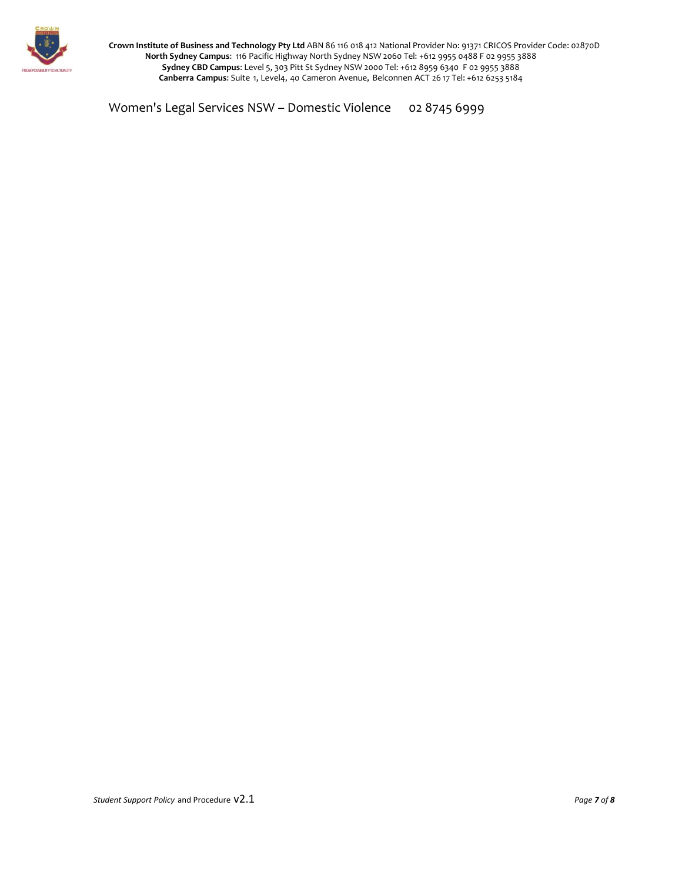

Women's Legal Services NSW - Domestic Violence 02 8745 6999